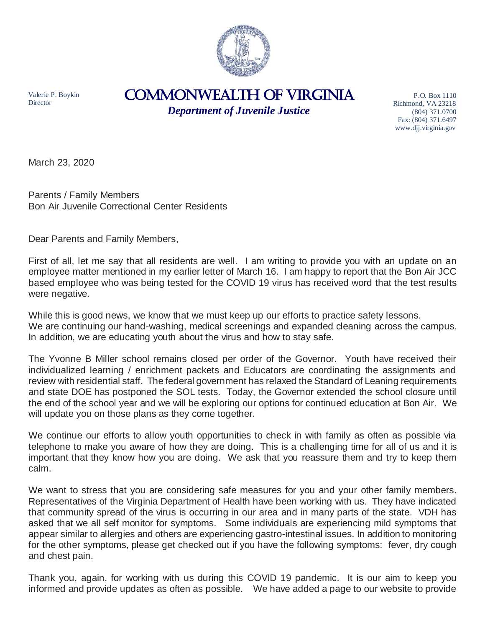

Valerie P. Boykin **Director** 

## COMMONWEALTH of VIRGINIA

*Department of Juvenile Justice*

P.O. Box 1110 Richmond, VA 23218 (804) 371.0700 Fax: (804) 371.6497 www.djj.virginia.gov

March 23, 2020

Parents / Family Members Bon Air Juvenile Correctional Center Residents

Dear Parents and Family Members,

First of all, let me say that all residents are well. I am writing to provide you with an update on an employee matter mentioned in my earlier letter of March 16. I am happy to report that the Bon Air JCC based employee who was being tested for the COVID 19 virus has received word that the test results were negative.

While this is good news, we know that we must keep up our efforts to practice safety lessons. We are continuing our hand-washing, medical screenings and expanded cleaning across the campus. In addition, we are educating youth about the virus and how to stay safe.

The Yvonne B Miller school remains closed per order of the Governor. Youth have received their individualized learning / enrichment packets and Educators are coordinating the assignments and review with residential staff. The federal government has relaxed the Standard of Leaning requirements and state DOE has postponed the SOL tests. Today, the Governor extended the school closure until the end of the school year and we will be exploring our options for continued education at Bon Air. We will update you on those plans as they come together.

We continue our efforts to allow youth opportunities to check in with family as often as possible via telephone to make you aware of how they are doing. This is a challenging time for all of us and it is important that they know how you are doing. We ask that you reassure them and try to keep them calm.

We want to stress that you are considering safe measures for you and your other family members. Representatives of the Virginia Department of Health have been working with us. They have indicated that community spread of the virus is occurring in our area and in many parts of the state. VDH has asked that we all self monitor for symptoms. Some individuals are experiencing mild symptoms that appear similar to allergies and others are experiencing gastro-intestinal issues. In addition to monitoring for the other symptoms, please get checked out if you have the following symptoms: fever, dry cough and chest pain.

Thank you, again, for working with us during this COVID 19 pandemic. It is our aim to keep you informed and provide updates as often as possible. We have added a page to our website to provide